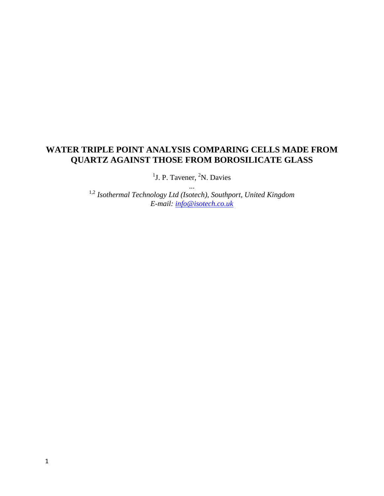# **WATER TRIPLE POINT ANALYSIS COMPARING CELLS MADE FROM QUARTZ AGAINST THOSE FROM BOROSILICATE GLASS**

<sup>1</sup>J. P. Tavener, <sup>2</sup>N. Davies ...

1,2 *Isothermal Technology Ltd (Isotech), Southport, United Kingdom E-mail: [info@isotech.co.uk](mailto:info@isotech.co.uk)*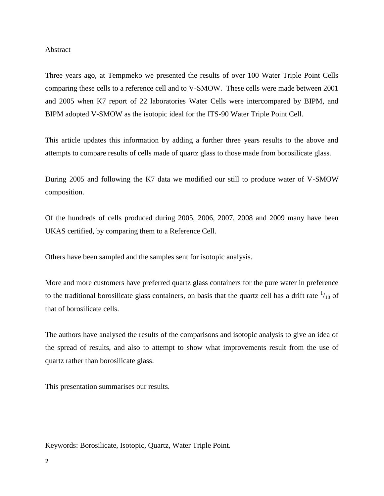#### Abstract

Three years ago, at Tempmeko we presented the results of over 100 Water Triple Point Cells comparing these cells to a reference cell and to V-SMOW. These cells were made between 2001 and 2005 when K7 report of 22 laboratories Water Cells were intercompared by BIPM, and BIPM adopted V-SMOW as the isotopic ideal for the ITS-90 Water Triple Point Cell.

This article updates this information by adding a further three years results to the above and attempts to compare results of cells made of quartz glass to those made from borosilicate glass.

During 2005 and following the K7 data we modified our still to produce water of V-SMOW composition.

Of the hundreds of cells produced during 2005, 2006, 2007, 2008 and 2009 many have been UKAS certified, by comparing them to a Reference Cell.

Others have been sampled and the samples sent for isotopic analysis.

More and more customers have preferred quartz glass containers for the pure water in preference to the traditional borosilicate glass containers, on basis that the quartz cell has a drift rate  $\frac{1}{10}$  of that of borosilicate cells.

The authors have analysed the results of the comparisons and isotopic analysis to give an idea of the spread of results, and also to attempt to show what improvements result from the use of quartz rather than borosilicate glass.

This presentation summarises our results.

Keywords: Borosilicate, Isotopic, Quartz, Water Triple Point.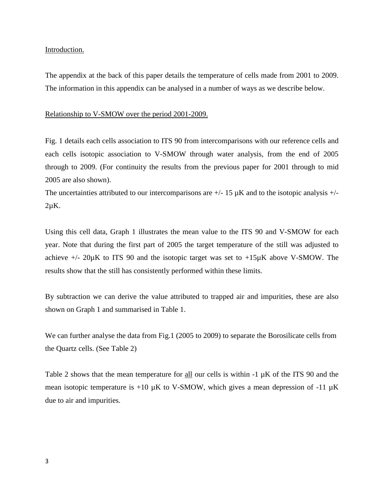Introduction.

The appendix at the back of this paper details the temperature of cells made from 2001 to 2009. The information in this appendix can be analysed in a number of ways as we describe below.

Relationship to V-SMOW over the period 2001-2009.

Fig. 1 details each cells association to ITS 90 from intercomparisons with our reference cells and each cells isotopic association to V-SMOW through water analysis, from the end of 2005 through to 2009. (For continuity the results from the previous paper for 2001 through to mid 2005 are also shown).

The uncertainties attributed to our intercomparisons are  $+/- 15 \mu K$  and to the isotopic analysis  $+/ 2\mu K$ .

Using this cell data, Graph 1 illustrates the mean value to the ITS 90 and V-SMOW for each year. Note that during the first part of 2005 the target temperature of the still was adjusted to achieve  $+/- 20\mu K$  to ITS 90 and the isotopic target was set to  $+15\mu K$  above V-SMOW. The results show that the still has consistently performed within these limits.

By subtraction we can derive the value attributed to trapped air and impurities, these are also shown on Graph 1 and summarised in Table 1.

We can further analyse the data from Fig.1 (2005 to 2009) to separate the Borosilicate cells from the Quartz cells. (See Table 2)

Table 2 shows that the mean temperature for all our cells is within  $-1 \mu K$  of the ITS 90 and the mean isotopic temperature is  $+10 \mu K$  to V-SMOW, which gives a mean depression of  $-11 \mu K$ due to air and impurities.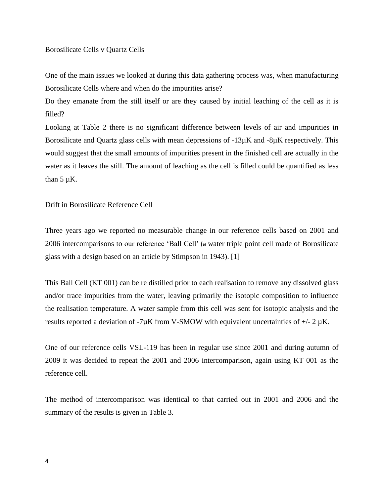### Borosilicate Cells v Quartz Cells

One of the main issues we looked at during this data gathering process was, when manufacturing Borosilicate Cells where and when do the impurities arise?

Do they emanate from the still itself or are they caused by initial leaching of the cell as it is filled?

Looking at Table 2 there is no significant difference between levels of air and impurities in Borosilicate and Quartz glass cells with mean depressions of  $-13\mu$ K and  $-8\mu$ K respectively. This would suggest that the small amounts of impurities present in the finished cell are actually in the water as it leaves the still. The amount of leaching as the cell is filled could be quantified as less than  $5 \mu K$ .

# Drift in Borosilicate Reference Cell

Three years ago we reported no measurable change in our reference cells based on 2001 and 2006 intercomparisons to our reference 'Ball Cell' (a water triple point cell made of Borosilicate glass with a design based on an article by Stimpson in 1943). [1]

This Ball Cell (KT 001) can be re distilled prior to each realisation to remove any dissolved glass and/or trace impurities from the water, leaving primarily the isotopic composition to influence the realisation temperature. A water sample from this cell was sent for isotopic analysis and the results reported a deviation of  $-7\mu$ K from V-SMOW with equivalent uncertainties of  $+/- 2 \mu$ K.

One of our reference cells VSL-119 has been in regular use since 2001 and during autumn of 2009 it was decided to repeat the 2001 and 2006 intercomparison, again using KT 001 as the reference cell.

The method of intercomparison was identical to that carried out in 2001 and 2006 and the summary of the results is given in Table 3.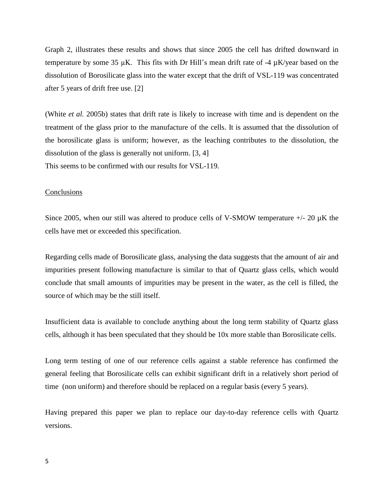Graph 2, illustrates these results and shows that since 2005 the cell has drifted downward in temperature by some 35  $\mu$ K. This fits with Dr Hill's mean drift rate of -4  $\mu$ K/year based on the dissolution of Borosilicate glass into the water except that the drift of VSL-119 was concentrated after 5 years of drift free use. [2]

(White *et al.* 2005b) states that drift rate is likely to increase with time and is dependent on the treatment of the glass prior to the manufacture of the cells. It is assumed that the dissolution of the borosilicate glass is uniform; however, as the leaching contributes to the dissolution, the dissolution of the glass is generally not uniform. [3, 4] This seems to be confirmed with our results for VSL-119.

#### **Conclusions**

Since 2005, when our still was altered to produce cells of V-SMOW temperature  $+/- 20 \mu K$  the cells have met or exceeded this specification.

Regarding cells made of Borosilicate glass, analysing the data suggests that the amount of air and impurities present following manufacture is similar to that of Quartz glass cells, which would conclude that small amounts of impurities may be present in the water, as the cell is filled, the source of which may be the still itself.

Insufficient data is available to conclude anything about the long term stability of Quartz glass cells, although it has been speculated that they should be 10x more stable than Borosilicate cells.

Long term testing of one of our reference cells against a stable reference has confirmed the general feeling that Borosilicate cells can exhibit significant drift in a relatively short period of time (non uniform) and therefore should be replaced on a regular basis (every 5 years).

Having prepared this paper we plan to replace our day-to-day reference cells with Quartz versions.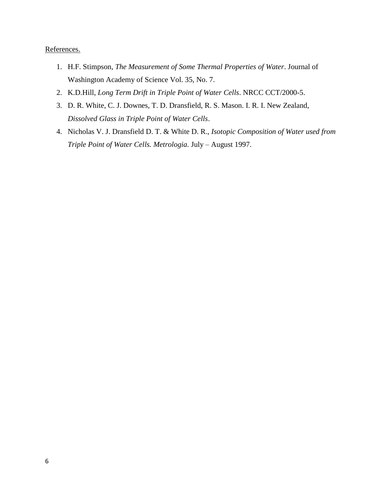# References.

- 1. H.F. Stimpson, *The Measurement of Some Thermal Properties of Water*. Journal of Washington Academy of Science Vol. 35, No. 7.
- 2. K.D.Hill, *Long Term Drift in Triple Point of Water Cells*. NRCC CCT/2000-5.
- 3. D. R. White, C. J. Downes, T. D. Dransfield, R. S. Mason. I. R. I. New Zealand, *Dissolved Glass in Triple Point of Water Cells*.
- 4. Nicholas V. J. Dransfield D. T. & White D. R., *Isotopic Composition of Water used from Triple Point of Water Cells. Metrologia.* July – August 1997.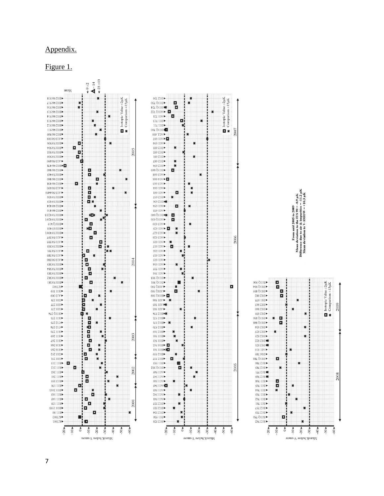### Appendix.

Figure 1.

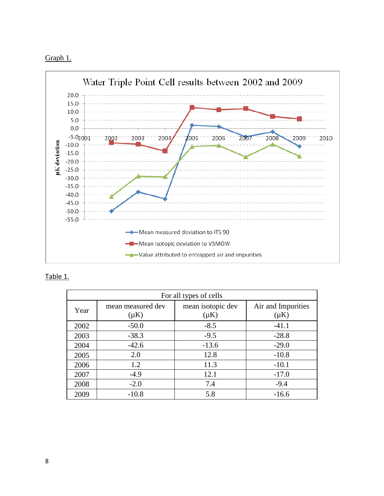



Table 1.

| For all types of cells |                                |                                |                                 |  |  |  |
|------------------------|--------------------------------|--------------------------------|---------------------------------|--|--|--|
| Year                   | mean measured dev<br>$(\mu K)$ | mean isotopic dev<br>$(\mu K)$ | Air and Impurities<br>$(\mu K)$ |  |  |  |
| 2002                   | $-50.0$                        | $-8.5$                         | $-41.1$                         |  |  |  |
| 2003                   | $-38.3$                        | $-9.5$                         | $-28.8$                         |  |  |  |
| 2004                   | $-42.6$                        | $-13.6$                        | $-29.0$                         |  |  |  |
| 2005                   | 2.0                            | 12.8                           | $-10.8$                         |  |  |  |
| 2006                   | 1.2                            | 11.3                           | $-10.1$                         |  |  |  |
| 2007                   | $-4.9$                         | 12.1                           | $-17.0$                         |  |  |  |
| 2008                   | $-2.0$                         | 7.4                            | $-9.4$                          |  |  |  |
| 2009                   | $-10.8$                        | 5.8                            | $-16.6$                         |  |  |  |